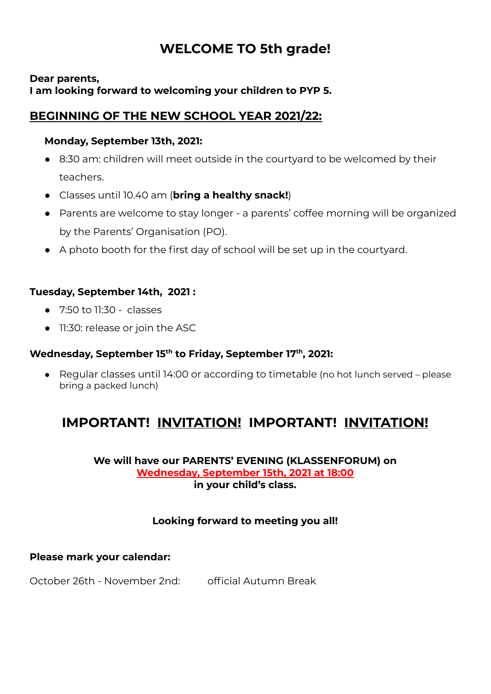# **WELCOME TO 5th grade!**

#### **Dear parents, I am looking forward to welcoming your children to PYP 5.**

## **BEGINNING OF THE NEW SCHOOL YEAR 2021/22:**

#### **Monday, September 13th, 2021:**

- 8:30 am: children will meet outside in the courtyard to be welcomed by their teachers.
- Classes until 10.40 am (**bring a healthy snack!**)
- Parents are welcome to stay longer a parents' coffee morning will be organized by the Parents' Organisation (PO).
- A photo booth for the first day of school will be set up in the courtyard.

### **Tuesday, September 14th, 2021 :**

- 7:50 to 11:30 classes
- 11:30: release or join the ASC

#### **Wednesday, September 15 th to Friday, September 17 th , 2021:**

● Regular classes until 14:00 or according to timetable (no hot lunch served – please bring a packed lunch)

# **IMPORTANT! INVITATION! IMPORTANT! INVITATION!**

#### **We will have our PARENTS' EVENING (KLASSENFORUM) on Wednesday, September 15th, 2021 at 18:00 in your child's class.**

## **Looking forward to meeting you all!**

#### **Please mark your calendar:**

October 26th - November 2nd: official Autumn Break